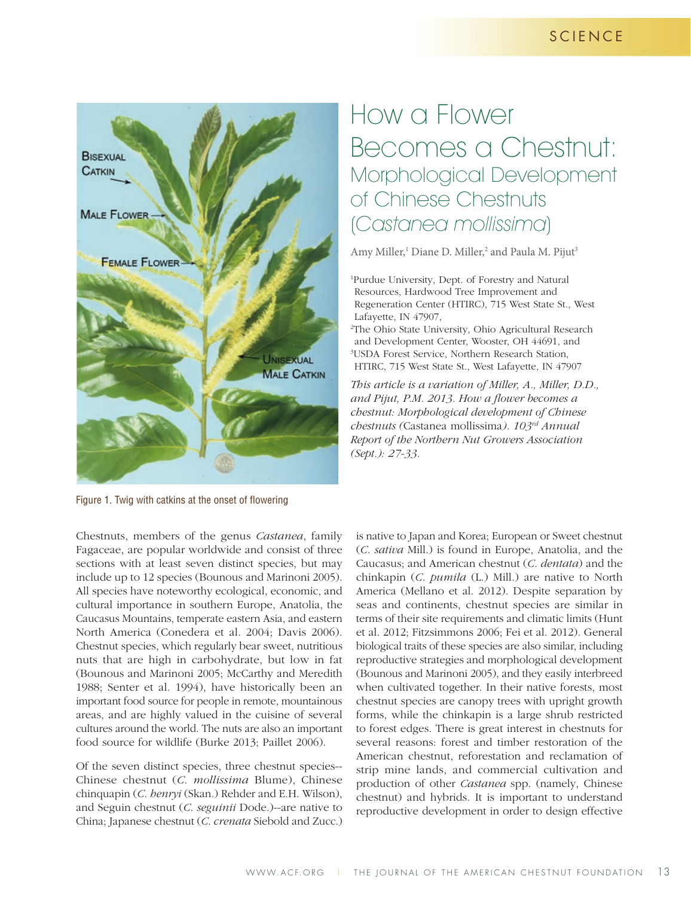## **SCIENCE**



# How a Flower Becomes a Chestnut: Morphological Development of Chinese Chestnuts (Castanea mollissima)

Amy Miller,<sup>1</sup> Diane D. Miller,<sup>2</sup> and Paula M. Pijut<sup>3</sup>

1 Purdue University, Dept. of Forestry and Natural Resources, Hardwood Tree Improvement and Regeneration Center (HTIRC), 715 West State St., West Lafayette, IN 47907,

2 The Ohio State University, Ohio Agricultural Research and Development Center, Wooster, OH 44691, and 3 USDA Forest Service, Northern Research Station, HTIRC, 715 West State St., West Lafayette, IN 47907

*This article is a variation of Miller, A., Miller, D.D., and Pijut, P.M. 2013. How a flower becomes a chestnut: Morphological development of Chinese chestnuts (*Castanea mollissima*). 103rd Annual Report of the Northern Nut Growers Association (Sept.): 27-33.* 

Figure 1. Twig with catkins at the onset of flowering

Chestnuts, members of the genus *Castanea*, family Fagaceae, are popular worldwide and consist of three sections with at least seven distinct species, but may include up to 12 species (Bounous and Marinoni 2005). All species have noteworthy ecological, economic, and cultural importance in southern Europe, Anatolia, the Caucasus Mountains, temperate eastern Asia, and eastern North America (Conedera et al. 2004; Davis 2006). Chestnut species, which regularly bear sweet, nutritious nuts that are high in carbohydrate, but low in fat (Bounous and Marinoni 2005; McCarthy and Meredith 1988; Senter et al. 1994), have historically been an important food source for people in remote, mountainous areas, and are highly valued in the cuisine of several cultures around the world. The nuts are also an important food source for wildlife (Burke 2013; Paillet 2006).

Of the seven distinct species, three chestnut species-- Chinese chestnut (*C*. *mollissima* Blume), Chinese chinquapin (*C*. *henryi* (Skan.) Rehder and E.H. Wilson), and Seguin chestnut (*C*. *seguinii* Dode.)--are native to China; Japanese chestnut (*C*. *crenata* Siebold and Zucc.)

is native to Japan and Korea; European or Sweet chestnut (*C*. *sativa* Mill.) is found in Europe, Anatolia, and the Caucasus; and American chestnut (*C*. *dentata*) and the chinkapin (*C*. *pumila* (L.) Mill.) are native to North America (Mellano et al. 2012). Despite separation by seas and continents, chestnut species are similar in terms of their site requirements and climatic limits (Hunt et al. 2012; Fitzsimmons 2006; Fei et al. 2012). General biological traits of these species are also similar, including reproductive strategies and morphological development (Bounous and Marinoni 2005), and they easily interbreed when cultivated together. In their native forests, most chestnut species are canopy trees with upright growth forms, while the chinkapin is a large shrub restricted to forest edges. There is great interest in chestnuts for several reasons: forest and timber restoration of the American chestnut, reforestation and reclamation of strip mine lands, and commercial cultivation and production of other *Castanea* spp. (namely, Chinese chestnut) and hybrids. It is important to understand reproductive development in order to design effective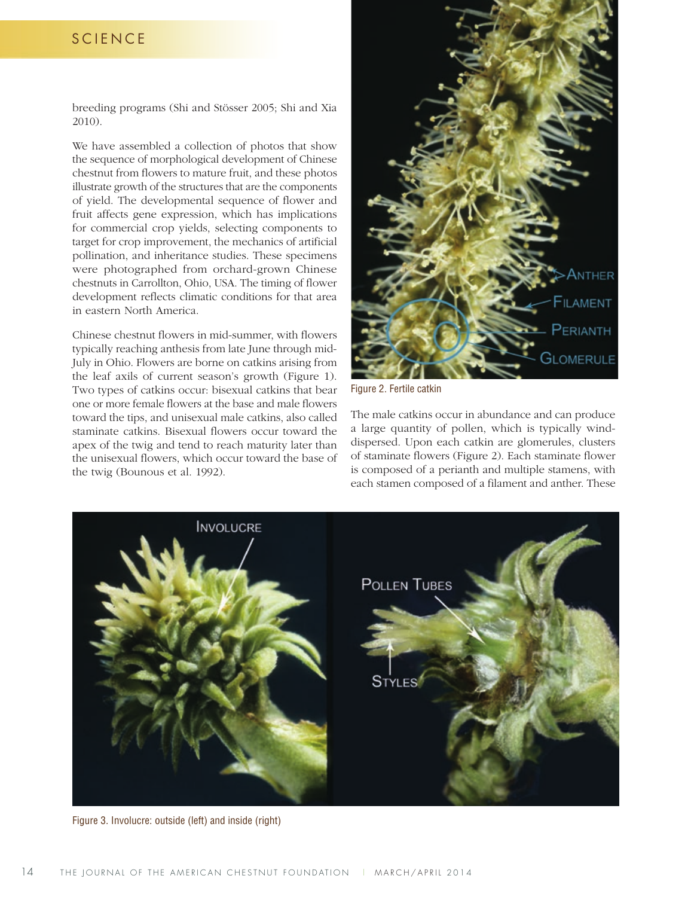### **SCIENCE**

breeding programs (Shi and Stösser 2005; Shi and Xia 2010).

We have assembled a collection of photos that show the sequence of morphological development of Chinese chestnut from flowers to mature fruit, and these photos illustrate growth of the structures that are the components of yield. The developmental sequence of flower and fruit affects gene expression, which has implications for commercial crop yields, selecting components to target for crop improvement, the mechanics of artificial pollination, and inheritance studies. These specimens were photographed from orchard-grown Chinese chestnuts in Carrollton, Ohio, USA. The timing of flower development reflects climatic conditions for that area in eastern North America.

Chinese chestnut flowers in mid-summer, with flowers typically reaching anthesis from late June through mid-July in Ohio. Flowers are borne on catkins arising from the leaf axils of current season's growth (Figure 1). Two types of catkins occur: bisexual catkins that bear one or more female flowers at the base and male flowers toward the tips, and unisexual male catkins, also called staminate catkins. Bisexual flowers occur toward the apex of the twig and tend to reach maturity later than the unisexual flowers, which occur toward the base of the twig (Bounous et al. 1992).



Figure 2. Fertile catkin

The male catkins occur in abundance and can produce a large quantity of pollen, which is typically winddispersed. Upon each catkin are glomerules, clusters of staminate flowers (Figure 2). Each staminate flower is composed of a perianth and multiple stamens, with each stamen composed of a filament and anther. These



Figure 3. Involucre: outside (left) and inside (right)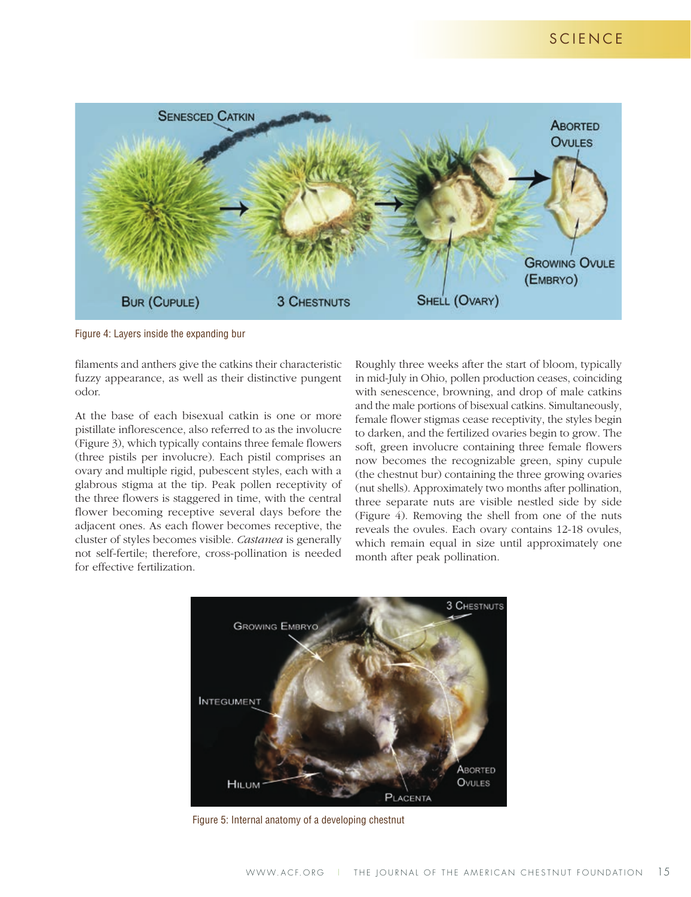## SCIENCE



Figure 4: Layers inside the expanding bur

filaments and anthers give the catkins their characteristic fuzzy appearance, as well as their distinctive pungent odor.

At the base of each bisexual catkin is one or more pistillate inflorescence, also referred to as the involucre (Figure 3), which typically contains three female flowers (three pistils per involucre). Each pistil comprises an ovary and multiple rigid, pubescent styles, each with a glabrous stigma at the tip. Peak pollen receptivity of the three flowers is staggered in time, with the central flower becoming receptive several days before the adjacent ones. As each flower becomes receptive, the cluster of styles becomes visible. *Castanea* is generally not self-fertile; therefore, cross-pollination is needed for effective fertilization.

Roughly three weeks after the start of bloom, typically in mid-July in Ohio, pollen production ceases, coinciding with senescence, browning, and drop of male catkins and the male portions of bisexual catkins. Simultaneously, female flower stigmas cease receptivity, the styles begin to darken, and the fertilized ovaries begin to grow. The soft, green involucre containing three female flowers now becomes the recognizable green, spiny cupule (the chestnut bur) containing the three growing ovaries (nut shells). Approximately two months after pollination, three separate nuts are visible nestled side by side (Figure 4). Removing the shell from one of the nuts reveals the ovules. Each ovary contains 12-18 ovules, which remain equal in size until approximately one month after peak pollination.



Figure 5: Internal anatomy of a developing chestnut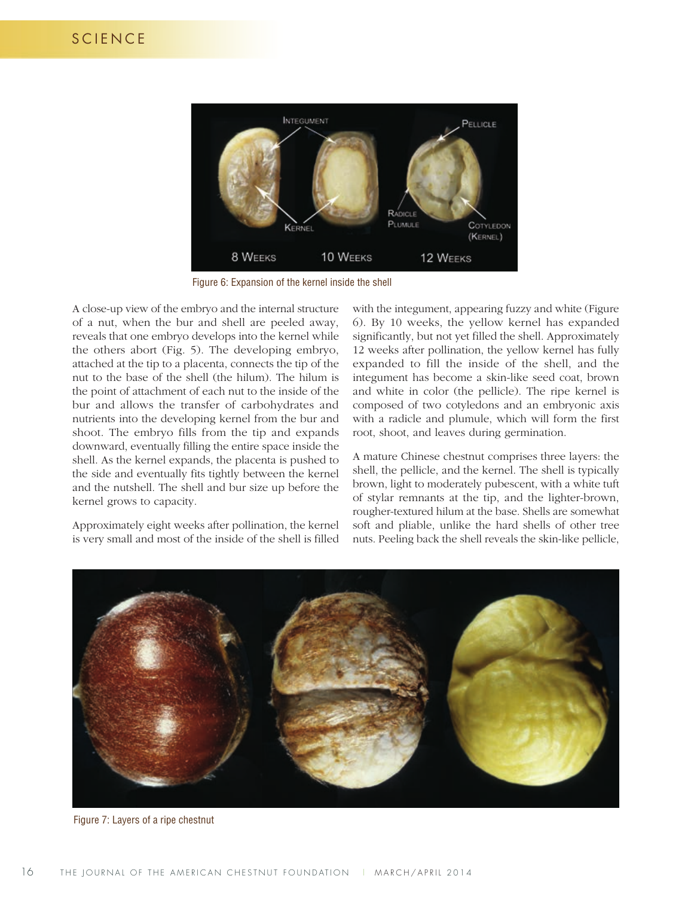

Figure 6: Expansion of the kernel inside the shell

A close-up view of the embryo and the internal structure of a nut, when the bur and shell are peeled away, reveals that one embryo develops into the kernel while the others abort (Fig. 5). The developing embryo, attached at the tip to a placenta, connects the tip of the nut to the base of the shell (the hilum). The hilum is the point of attachment of each nut to the inside of the bur and allows the transfer of carbohydrates and nutrients into the developing kernel from the bur and shoot. The embryo fills from the tip and expands downward, eventually filling the entire space inside the shell. As the kernel expands, the placenta is pushed to the side and eventually fits tightly between the kernel and the nutshell. The shell and bur size up before the kernel grows to capacity.

Approximately eight weeks after pollination, the kernel is very small and most of the inside of the shell is filled

with the integument, appearing fuzzy and white (Figure 6). By 10 weeks, the yellow kernel has expanded significantly, but not yet filled the shell. Approximately 12 weeks after pollination, the yellow kernel has fully expanded to fill the inside of the shell, and the integument has become a skin-like seed coat, brown and white in color (the pellicle). The ripe kernel is composed of two cotyledons and an embryonic axis with a radicle and plumule, which will form the first root, shoot, and leaves during germination.

A mature Chinese chestnut comprises three layers: the shell, the pellicle, and the kernel. The shell is typically brown, light to moderately pubescent, with a white tuft of stylar remnants at the tip, and the lighter-brown, rougher-textured hilum at the base. Shells are somewhat soft and pliable, unlike the hard shells of other tree nuts. Peeling back the shell reveals the skin-like pellicle,



Figure 7: Layers of a ripe chestnut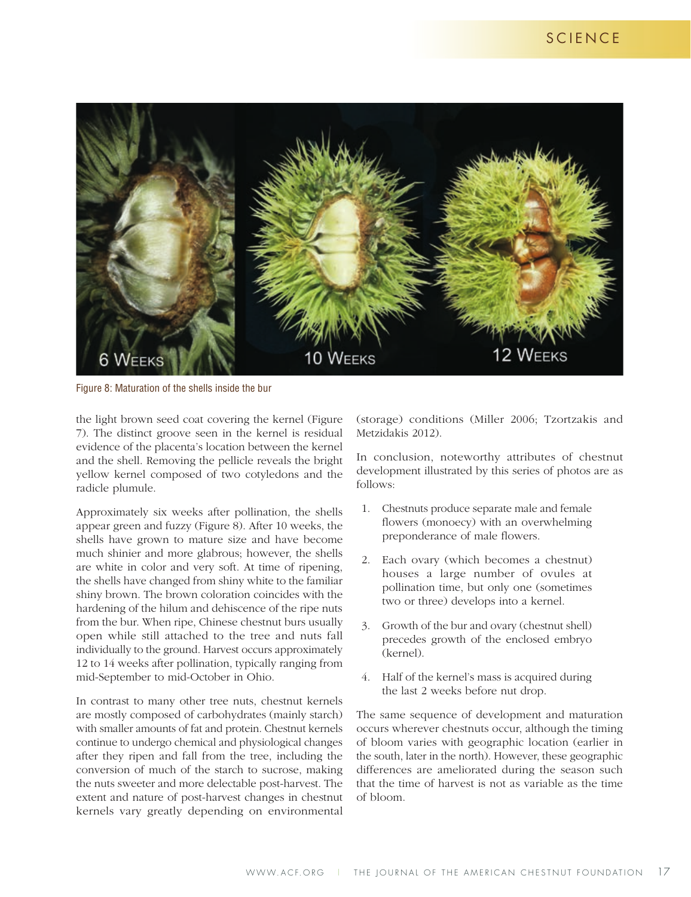

Figure 8: Maturation of the shells inside the bur

the light brown seed coat covering the kernel (Figure 7). The distinct groove seen in the kernel is residual evidence of the placenta's location between the kernel and the shell. Removing the pellicle reveals the bright yellow kernel composed of two cotyledons and the radicle plumule.

Approximately six weeks after pollination, the shells appear green and fuzzy (Figure 8). After 10 weeks, the shells have grown to mature size and have become much shinier and more glabrous; however, the shells are white in color and very soft. At time of ripening, the shells have changed from shiny white to the familiar shiny brown. The brown coloration coincides with the hardening of the hilum and dehiscence of the ripe nuts from the bur. When ripe, Chinese chestnut burs usually open while still attached to the tree and nuts fall individually to the ground. Harvest occurs approximately 12 to 14 weeks after pollination, typically ranging from mid-September to mid-October in Ohio.

In contrast to many other tree nuts, chestnut kernels are mostly composed of carbohydrates (mainly starch) with smaller amounts of fat and protein. Chestnut kernels continue to undergo chemical and physiological changes after they ripen and fall from the tree, including the conversion of much of the starch to sucrose, making the nuts sweeter and more delectable post-harvest. The extent and nature of post-harvest changes in chestnut kernels vary greatly depending on environmental

(storage) conditions (Miller 2006; Tzortzakis and Metzidakis 2012).

In conclusion, noteworthy attributes of chestnut development illustrated by this series of photos are as follows:

- 1. Chestnuts produce separate male and female flowers (monoecy) with an overwhelming preponderance of male flowers.
- 2. Each ovary (which becomes a chestnut) houses a large number of ovules at pollination time, but only one (sometimes two or three) develops into a kernel.
- 3. Growth of the bur and ovary (chestnut shell) precedes growth of the enclosed embryo (kernel).
- 4. Half of the kernel's mass is acquired during the last 2 weeks before nut drop.

The same sequence of development and maturation occurs wherever chestnuts occur, although the timing of bloom varies with geographic location (earlier in the south, later in the north). However, these geographic differences are ameliorated during the season such that the time of harvest is not as variable as the time of bloom.